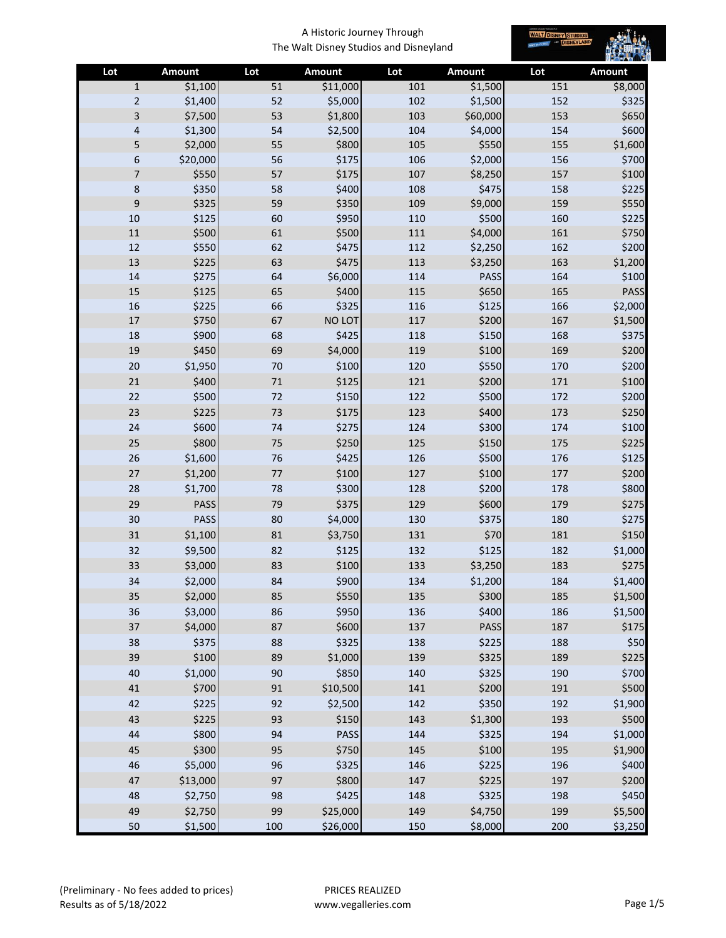

| Lot            | Amount      | Lot    | <b>Amount</b> | Lot | <b>Amount</b> | Lot | <b>Amount</b> |
|----------------|-------------|--------|---------------|-----|---------------|-----|---------------|
| $\mathbf{1}$   | \$1,100     | 51     | \$11,000      | 101 | \$1,500       | 151 | \$8,000       |
| $\overline{2}$ | \$1,400     | 52     | \$5,000       | 102 | \$1,500       | 152 | \$325         |
| 3              | \$7,500     | 53     | \$1,800       | 103 | \$60,000      | 153 | \$650         |
| 4              | \$1,300     | 54     | \$2,500       | 104 | \$4,000       | 154 | \$600         |
| 5              | \$2,000     | 55     | \$800         | 105 | \$550         | 155 | \$1,600       |
| 6              | \$20,000    | 56     | \$175         | 106 | \$2,000       | 156 | \$700         |
| 7              | \$550       | 57     | \$175         | 107 | \$8,250       | 157 | \$100         |
| 8              | \$350       | 58     | \$400         | 108 | \$475         | 158 | \$225         |
| 9              | \$325       | 59     | \$350         | 109 | \$9,000       | 159 | \$550         |
| $10\,$         | \$125       | 60     | \$950         | 110 | \$500         | 160 | \$225         |
| $11\,$         | \$500       | 61     | \$500         | 111 | \$4,000       | 161 | \$750         |
| 12             | \$550       | 62     | \$475         | 112 | \$2,250       | 162 | \$200         |
| 13             | \$225       | 63     | \$475         | 113 | \$3,250       | 163 | \$1,200       |
| 14             | \$275       | 64     | \$6,000       | 114 | <b>PASS</b>   | 164 | \$100         |
| 15             | \$125       | 65     | \$400         | 115 | \$650         | 165 | PASS          |
| 16             | \$225       | 66     | \$325         | 116 | \$125         | 166 | \$2,000       |
| $17\,$         | \$750       | 67     | NO LOT        | 117 | \$200         | 167 | \$1,500       |
| 18             | \$900       | 68     | \$425         | 118 | \$150         | 168 | \$375         |
| 19             | \$450       | 69     | \$4,000       | 119 | \$100         | 169 | \$200         |
| $20\,$         | \$1,950     | 70     | \$100         | 120 | \$550         | 170 | \$200         |
| 21             | \$400       | 71     | \$125         | 121 | \$200         | 171 | \$100         |
| 22             | \$500       | 72     | \$150         | 122 | \$500         | 172 | \$200         |
| 23             | \$225       | 73     | \$175         | 123 | \$400         | 173 | \$250         |
| 24             | \$600       | 74     | \$275         | 124 | \$300         | 174 | \$100         |
| 25             | \$800       | 75     | \$250         | 125 | \$150         | 175 | \$225         |
| 26             | \$1,600     | 76     | \$425         | 126 | \$500         | 176 | \$125         |
| $27\,$         | \$1,200     | 77     | \$100         | 127 | \$100         | 177 | \$200         |
| 28             | \$1,700     | 78     | \$300         | 128 | \$200         | 178 | \$800         |
| 29             | PASS        | 79     | \$375         | 129 | \$600         | 179 | \$275         |
| 30             | <b>PASS</b> | 80     | \$4,000       | 130 | \$375         | 180 | \$275         |
| 31             | \$1,100     | 81     | \$3,750       | 131 | \$70          | 181 | \$150         |
| 32             | \$9,500     | 82     | \$125         | 132 | \$125         | 182 | \$1,000       |
| 33             | \$3,000     | 83     | \$100         | 133 | \$3,250       | 183 | \$275         |
| 34             | \$2,000     | 84     | \$900         | 134 | \$1,200       | 184 | \$1,400       |
| 35             | \$2,000     | 85     | \$550         | 135 | \$300         | 185 | \$1,500       |
| 36             | \$3,000     | 86     | \$950         | 136 | \$400         | 186 | \$1,500       |
| 37             | \$4,000     | 87     | \$600         | 137 | <b>PASS</b>   | 187 | \$175         |
| 38             | \$375       | 88     | \$325         | 138 | \$225         | 188 | \$50          |
| 39             | \$100       | 89     | \$1,000       | 139 | \$325         | 189 | \$225         |
| 40             | \$1,000     | $90\,$ | \$850         | 140 | \$325         | 190 | \$700         |
| 41             | \$700       | 91     | \$10,500      | 141 | \$200         | 191 | \$500         |
| 42             | \$225       | 92     | \$2,500       | 142 | \$350         | 192 | \$1,900       |
| 43             | \$225       | 93     | \$150         | 143 | \$1,300       | 193 | \$500         |
| 44             | \$800       | 94     | PASS          | 144 | \$325         | 194 | \$1,000       |
| 45             | \$300       | 95     | \$750         | 145 | \$100         | 195 | \$1,900       |
| 46             | \$5,000     | 96     | \$325         | 146 | \$225         | 196 | \$400         |
| 47             | \$13,000    | 97     | \$800         | 147 | \$225         | 197 | \$200         |
| 48             | \$2,750     | 98     | \$425         | 148 | \$325         | 198 | \$450         |
| 49             | \$2,750     | 99     | \$25,000      | 149 | \$4,750       | 199 | \$5,500       |
| 50             | \$1,500     | 100    | \$26,000      | 150 | \$8,000       | 200 | \$3,250       |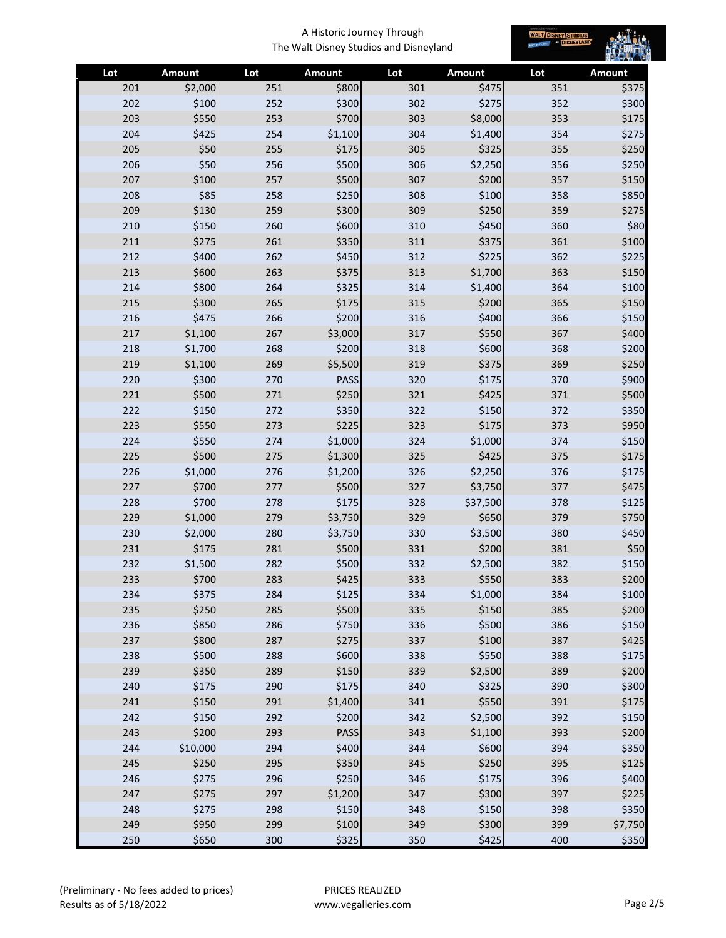

| Lot | Amount   | Lot | Amount      | Lot | Amount   | Lot | Amount  |
|-----|----------|-----|-------------|-----|----------|-----|---------|
| 201 | \$2,000  | 251 | \$800       | 301 | \$475    | 351 | \$375   |
| 202 | \$100    | 252 | \$300       | 302 | \$275    | 352 | \$300   |
| 203 | \$550    | 253 | \$700       | 303 | \$8,000  | 353 | \$175   |
| 204 | \$425    | 254 | \$1,100     | 304 | \$1,400  | 354 | \$275   |
| 205 | \$50     | 255 | \$175       | 305 | \$325    | 355 | \$250   |
| 206 | \$50     | 256 | \$500       | 306 | \$2,250  | 356 | \$250   |
| 207 | \$100    | 257 | \$500       | 307 | \$200    | 357 | \$150   |
| 208 | \$85     | 258 | \$250       | 308 | \$100    | 358 | \$850   |
| 209 | \$130    | 259 | \$300       | 309 | \$250    | 359 | \$275   |
| 210 | \$150    | 260 | \$600       | 310 | \$450    | 360 | \$80    |
| 211 | \$275    | 261 | \$350       | 311 | \$375    | 361 | \$100   |
| 212 | \$400    | 262 | \$450       | 312 | \$225    | 362 | \$225   |
| 213 | \$600    | 263 | \$375       | 313 | \$1,700  | 363 | \$150   |
| 214 | \$800    | 264 | \$325       | 314 | \$1,400  | 364 | \$100   |
| 215 | \$300    | 265 | \$175       | 315 | \$200    | 365 | \$150   |
| 216 | \$475    | 266 | \$200       | 316 | \$400    | 366 | \$150   |
| 217 | \$1,100  | 267 | \$3,000     | 317 | \$550    | 367 | \$400   |
| 218 | \$1,700  | 268 | \$200       | 318 | \$600    | 368 | \$200   |
| 219 | \$1,100  | 269 | \$5,500     | 319 | \$375    | 369 | \$250   |
| 220 | \$300    | 270 | <b>PASS</b> | 320 | \$175    | 370 | \$900   |
| 221 | \$500    | 271 | \$250       | 321 | \$425    | 371 | \$500   |
| 222 | \$150    | 272 | \$350       | 322 | \$150    | 372 | \$350   |
| 223 | \$550    | 273 | \$225       | 323 | \$175    | 373 | \$950   |
| 224 | \$550    | 274 | \$1,000     | 324 | \$1,000  | 374 | \$150   |
| 225 | \$500    | 275 | \$1,300     | 325 | \$425    | 375 | \$175   |
| 226 | \$1,000  | 276 | \$1,200     | 326 | \$2,250  | 376 | \$175   |
| 227 | \$700    | 277 | \$500       | 327 | \$3,750  | 377 | \$475   |
| 228 | \$700    | 278 | \$175       | 328 | \$37,500 | 378 | \$125   |
| 229 | \$1,000  | 279 | \$3,750     | 329 | \$650    | 379 | \$750   |
| 230 | \$2,000  | 280 | \$3,750     | 330 | \$3,500  | 380 | \$450   |
| 231 | \$175    | 281 | \$500       | 331 | \$200    | 381 | \$50    |
| 232 | \$1,500  | 282 | \$500       | 332 | \$2,500  | 382 | \$150   |
| 233 | \$700    | 283 | \$425       | 333 | \$550    | 383 | \$200   |
| 234 | \$375    | 284 | \$125       | 334 | \$1,000  | 384 | \$100   |
| 235 | \$250    | 285 | \$500       | 335 | \$150    | 385 | \$200   |
| 236 | \$850    | 286 | \$750       | 336 | \$500    | 386 | \$150   |
| 237 | \$800    | 287 | \$275       | 337 | \$100    | 387 | \$425   |
| 238 | \$500    | 288 | \$600       | 338 | \$550    | 388 | \$175   |
| 239 | \$350    | 289 | \$150       | 339 | \$2,500  | 389 | \$200   |
| 240 | \$175    | 290 | \$175       | 340 | \$325    | 390 | \$300   |
| 241 | \$150    | 291 | \$1,400     | 341 | \$550    | 391 | \$175   |
| 242 | \$150    | 292 | \$200       | 342 | \$2,500  | 392 | \$150   |
| 243 | \$200    | 293 | <b>PASS</b> | 343 | \$1,100  | 393 | \$200   |
| 244 | \$10,000 | 294 | \$400       | 344 | \$600    | 394 | \$350   |
| 245 | \$250    | 295 | \$350       | 345 | \$250    | 395 | \$125   |
| 246 | \$275    | 296 | \$250       | 346 | \$175    | 396 | \$400   |
| 247 | \$275    | 297 | \$1,200     | 347 | \$300    | 397 | \$225   |
| 248 | \$275    | 298 | \$150       | 348 | \$150    | 398 | \$350   |
| 249 | \$950    | 299 | \$100       | 349 | \$300    | 399 | \$7,750 |
| 250 | \$650    | 300 | \$325       | 350 | \$425    | 400 | \$350   |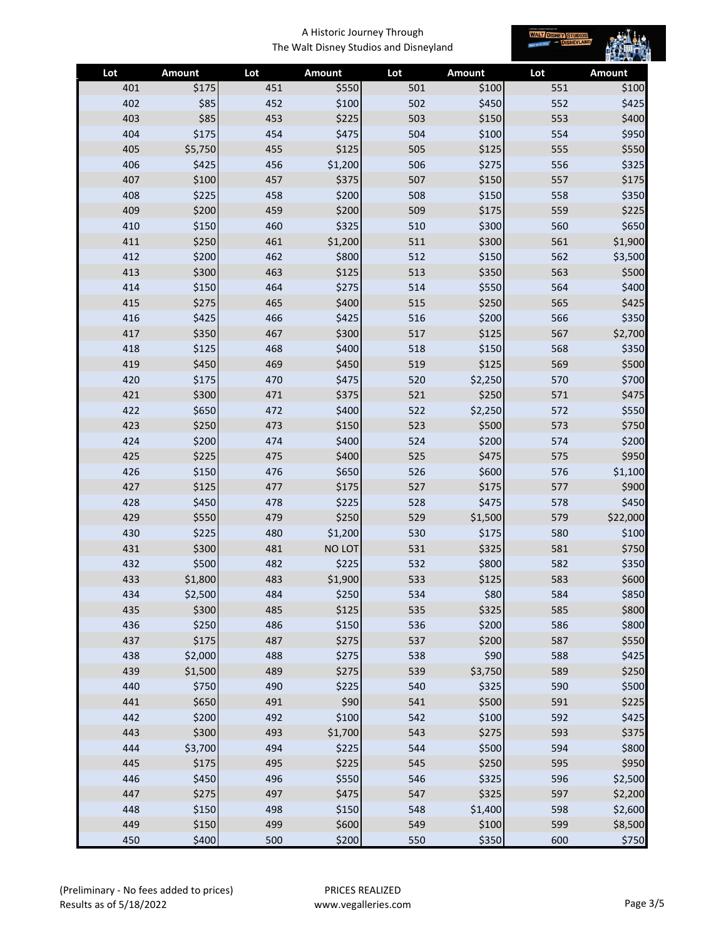

| Lot        | Amount         | Lot        | Amount         | Lot        | <b>Amount</b>  | Lot        | Amount         |
|------------|----------------|------------|----------------|------------|----------------|------------|----------------|
| 401        | \$175          | 451        | \$550          | 501        | \$100          | 551        | \$100          |
| 402        | \$85           | 452        | \$100          | 502        | \$450          | 552        | \$425          |
| 403        | \$85           | 453        | \$225          | 503        | \$150          | 553        | \$400          |
| 404        | \$175          | 454        | \$475          | 504        | \$100          | 554        | \$950          |
| 405        | \$5,750        | 455        | \$125          | 505        | \$125          | 555        | \$550          |
| 406        | \$425          | 456        | \$1,200        | 506        | \$275          | 556        | \$325          |
| 407        | \$100          | 457        | \$375          | 507        | \$150          | 557        | \$175          |
| 408        | \$225          | 458        | \$200          | 508        | \$150          | 558        | \$350          |
| 409        | \$200          | 459        | \$200          | 509        | \$175          | 559        | \$225          |
| 410        | \$150          | 460        | \$325          | 510        | \$300          | 560        | \$650          |
| 411        | \$250          | 461        | \$1,200        | 511        | \$300          | 561        | \$1,900        |
| 412        | \$200          | 462        | \$800          | 512        | \$150          | 562        | \$3,500        |
| 413        | \$300          | 463        | \$125          | 513        | \$350          | 563        | \$500          |
| 414        | \$150          | 464        | \$275          | 514        | \$550          | 564        | \$400          |
| 415        | \$275          | 465        | \$400          | 515        | \$250          | 565        | \$425          |
| 416        | \$425          | 466        | \$425          | 516        | \$200          | 566        | \$350          |
| 417        | \$350          | 467        | \$300          | 517        | \$125          | 567        | \$2,700        |
| 418        | \$125          | 468        | \$400          | 518        | \$150          | 568        | \$350          |
| 419        | \$450          | 469        | \$450          | 519        | \$125          | 569        | \$500          |
| 420        | \$175          | 470        | \$475          | 520        | \$2,250        | 570        | \$700          |
| 421        | \$300          | 471        | \$375          | 521        | \$250          | 571        | \$475          |
| 422        | \$650          | 472        | \$400          | 522        | \$2,250        | 572        | \$550          |
| 423        | \$250          | 473        | \$150          | 523        | \$500          | 573        | \$750          |
| 424        | \$200          | 474        | \$400          | 524        | \$200          | 574        | \$200          |
| 425        | \$225          | 475        | \$400          | 525        | \$475          | 575        | \$950          |
| 426        | \$150          | 476        | \$650          | 526        | \$600          | 576        | \$1,100        |
| 427        | \$125          | 477        | \$175          | 527        | \$175          | 577        | \$900          |
| 428        | \$450          | 478        | \$225          | 528        | \$475          | 578        | \$450          |
| 429        | \$550          | 479        | \$250          | 529        | \$1,500        | 579        | \$22,000       |
| 430        | \$225          | 480        | \$1,200        | 530        | \$175          | 580        | \$100          |
| 431        | \$300          | 481        | NO LOT         | 531        | \$325          | 581        | \$750          |
| 432        | \$500          | 482        | \$225          | 532        | \$800          | 582        | \$350          |
| 433        | \$1,800        | 483        | \$1,900        | 533        | \$125          | 583        | \$600          |
| 434        | \$2,500        | 484        | \$250          | 534        | \$80           | 584        | \$850          |
| 435<br>436 | \$300<br>\$250 | 485<br>486 | \$125<br>\$150 | 535<br>536 | \$325<br>\$200 | 585<br>586 | \$800<br>\$800 |
| 437        | \$175          | 487        | \$275          | 537        | \$200          | 587        | \$550          |
| 438        | \$2,000        | 488        | \$275          | 538        | \$90           | 588        | \$425          |
| 439        | \$1,500        | 489        | \$275          | 539        | \$3,750        | 589        | \$250          |
| 440        | \$750          | 490        | \$225          | 540        | \$325          | 590        | \$500          |
| 441        | \$650          | 491        | \$90           | 541        | \$500          | 591        | \$225          |
| 442        | \$200          | 492        | \$100          | 542        | \$100          | 592        | \$425          |
| 443        | \$300          | 493        | \$1,700        | 543        | \$275          | 593        | \$375          |
| 444        | \$3,700        | 494        | \$225          | 544        | \$500          | 594        | \$800          |
| 445        | \$175          | 495        | \$225          | 545        | \$250          | 595        | \$950          |
| 446        | \$450          | 496        | \$550          | 546        | \$325          | 596        | \$2,500        |
| 447        | \$275          | 497        | \$475          | 547        | \$325          | 597        | \$2,200        |
| 448        | \$150          | 498        | \$150          | 548        | \$1,400        | 598        | \$2,600        |
| 449        | \$150          | 499        | \$600          | 549        | \$100          | 599        | \$8,500        |
| 450        | \$400          | 500        | \$200          | 550        | \$350          | 600        | \$750          |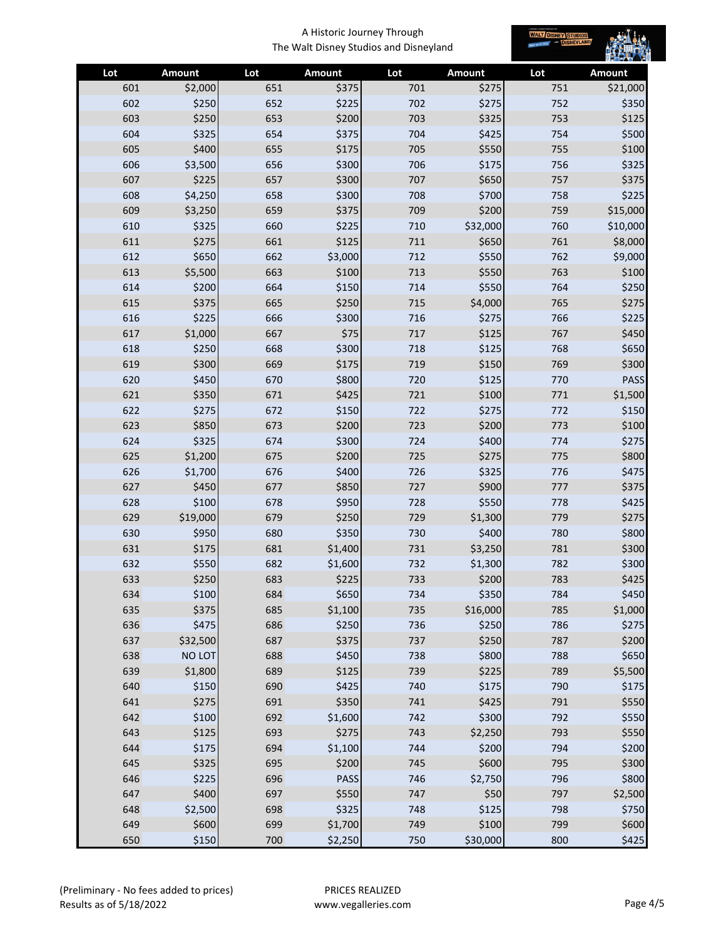

| Lot | Amount   | Lot | <b>Amount</b>    | Lot | Amount         | Lot | Amount   |
|-----|----------|-----|------------------|-----|----------------|-----|----------|
| 601 | \$2,000  | 651 | \$375            | 701 | \$275          | 751 | \$21,000 |
| 602 | \$250    | 652 | \$225            | 702 | \$275          | 752 | \$350    |
| 603 | \$250    | 653 | \$200            | 703 | \$325          | 753 | \$125    |
| 604 | \$325    | 654 | \$375            | 704 | \$425          | 754 | \$500    |
| 605 | \$400    | 655 | \$175            | 705 | \$550          | 755 | \$100    |
| 606 | \$3,500  | 656 | \$300            | 706 | \$175          | 756 | \$325    |
| 607 | \$225    | 657 | \$300            | 707 | \$650          | 757 | \$375    |
| 608 | \$4,250  | 658 | \$300            | 708 | \$700          | 758 | \$225    |
| 609 | \$3,250  | 659 | \$375            | 709 | \$200          | 759 | \$15,000 |
| 610 | \$325    | 660 | \$225            | 710 | \$32,000       | 760 | \$10,000 |
| 611 | \$275    | 661 | \$125            | 711 | \$650          | 761 | \$8,000  |
| 612 | \$650    | 662 | \$3,000          | 712 | \$550          | 762 | \$9,000  |
| 613 | \$5,500  | 663 | \$100            | 713 | \$550          | 763 | \$100    |
| 614 | \$200    | 664 | \$150            | 714 | \$550          | 764 | \$250    |
| 615 | \$375    | 665 | \$250            | 715 | \$4,000        | 765 | \$275    |
| 616 | \$225    | 666 | \$300            | 716 | \$275          | 766 | \$225    |
| 617 | \$1,000  | 667 | \$75             | 717 | \$125          | 767 | \$450    |
| 618 | \$250    | 668 | \$300            | 718 | \$125          | 768 | \$650    |
| 619 | \$300    | 669 | \$175            | 719 | \$150          | 769 | \$300    |
| 620 | \$450    | 670 | \$800            | 720 | \$125          | 770 | PASS     |
| 621 | \$350    | 671 | \$425            | 721 | \$100          | 771 | \$1,500  |
| 622 | \$275    | 672 | \$150            | 722 | \$275          | 772 | \$150    |
| 623 | \$850    | 673 | \$200            | 723 | \$200          | 773 | \$100    |
| 624 | \$325    | 674 | \$300            | 724 | \$400          | 774 | \$275    |
| 625 | \$1,200  | 675 | \$200            | 725 | \$275          | 775 | \$800    |
| 626 | \$1,700  | 676 | \$400            | 726 | \$325          | 776 | \$475    |
| 627 | \$450    | 677 | \$850            | 727 | \$900          | 777 | \$375    |
| 628 | \$100    | 678 | \$950            | 728 | \$550          | 778 | \$425    |
| 629 | \$19,000 | 679 | \$250            | 729 | \$1,300        | 779 | \$275    |
| 630 | \$950    | 680 | \$350            | 730 | \$400          | 780 | \$800    |
| 631 | \$175    | 681 | \$1,400          | 731 | \$3,250        | 781 | \$300    |
| 632 | \$550    | 682 | \$1,600          | 732 | \$1,300        | 782 | \$300    |
| 633 | \$250    | 683 | \$225            | 733 | \$200          | 783 | \$425    |
| 634 | \$100    | 684 | \$650            | 734 | \$350          | 784 | \$450    |
| 635 | \$375    | 685 | \$1,100          | 735 | \$16,000       | 785 | \$1,000  |
| 636 | \$475    | 686 | \$250            | 736 | \$250          | 786 | \$275    |
| 637 | \$32,500 | 687 | \$375            | 737 | \$250          | 787 | \$200    |
| 638 | NO LOT   | 688 | \$450            | 738 | \$800          | 788 | \$650    |
| 639 | \$1,800  | 689 | \$125            | 739 | \$225          | 789 | \$5,500  |
| 640 | \$150    | 690 | \$425            | 740 | \$175          | 790 | \$175    |
| 641 | \$275    | 691 | \$350            | 741 | \$425<br>\$300 | 791 | \$550    |
| 642 | \$100    | 692 | \$1,600<br>\$275 | 742 |                | 792 | \$550    |
| 643 | \$125    | 693 |                  | 743 | \$2,250        | 793 | \$550    |
| 644 | \$175    | 694 | \$1,100          | 744 | \$200          | 794 | \$200    |
| 645 | \$325    | 695 | \$200            | 745 | \$600          | 795 | \$300    |
| 646 | \$225    | 696 | PASS             | 746 | \$2,750        | 796 | \$800    |
| 647 | \$400    | 697 | \$550            | 747 | \$50           | 797 | \$2,500  |
| 648 | \$2,500  | 698 | \$325            | 748 | \$125          | 798 | \$750    |
| 649 | \$600    | 699 | \$1,700          | 749 | \$100          | 799 | \$600    |
| 650 | \$150    | 700 | \$2,250          | 750 | \$30,000       | 800 | \$425    |